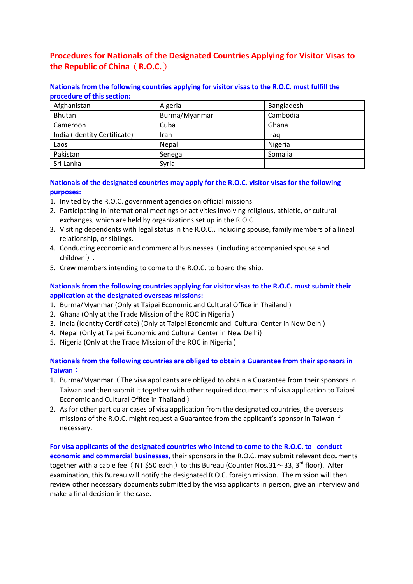# **Procedures for Nationals of the Designated Countries Applying for Visitor Visas to the Republic of China**(**R.O.C.**)

#### **Nationals from the following countries applying for visitor visas to the R.O.C. must fulfill the procedure of this section:**

| Afghanistan                  | Algeria       | Bangladesh |
|------------------------------|---------------|------------|
| Bhutan                       | Burma/Myanmar | Cambodia   |
| Cameroon                     | Cuba          | Ghana      |
| India (Identity Certificate) | Iran          | Iraq       |
| Laos                         | Nepal         | Nigeria    |
| Pakistan                     | Senegal       | Somalia    |
| Sri Lanka                    | Syria         |            |

#### **Nationals of the designated countries may apply for the R.O.C. visitor visas for the following purposes:**

- 1. Invited by the R.O.C. government agencies on official missions.
- 2. Participating in international meetings or activities involving religious, athletic, or cultural exchanges, which are held by organizations set up in the R.O.C.
- 3. Visiting dependents with legal status in the R.O.C., including spouse, family members of a lineal relationship, or siblings.
- 4. Conducting economic and commercial businesses (including accompanied spouse and children).
- 5. Crew members intending to come to the R.O.C. to board the ship.

## **Nationals from the following countries applying for visitor visas to the R.O.C. must submit their application at the designated overseas missions:**

- 1. Burma/Myanmar (Only at Taipei Economic and Cultural Office in Thailand )
- 2. Ghana (Only at the Trade Mission of the ROC in Nigeria )
- 3. India (Identity Certificate) (Only at Taipei Economic and Cultural Center in New Delhi)
- 4. Nepal (Only at Taipei Economic and Cultural Center in New Delhi)
- 5. Nigeria (Only at the Trade Mission of the ROC in Nigeria )

## **Nationals from the following countries are obliged to obtain a Guarantee from their sponsors in Taiwan**:

- 1. Burma/Myanmar (The visa applicants are obliged to obtain a Guarantee from their sponsors in Taiwan and then submit it together with other required documents of visa application to Taipei Economic and Cultural Office in Thailand)
- 2. As for other particular cases of visa application from the designated countries, the overseas missions of the R.O.C. might request a Guarantee from the applicant's sponsor in Taiwan if necessary.

**For visa applicants of the designated countries who intend to come to the R.O.C. to conduct economic and commercial businesses,** their sponsors in the R.O.C. may submit relevant documents together with a cable fee (NT \$50 each) to this Bureau (Counter Nos.31 $\sim$ 33, 3<sup>rd</sup> floor). After examination, this Bureau will notify the designated R.O.C. foreign mission. The mission will then review other necessary documents submitted by the visa applicants in person, give an interview and make a final decision in the case.